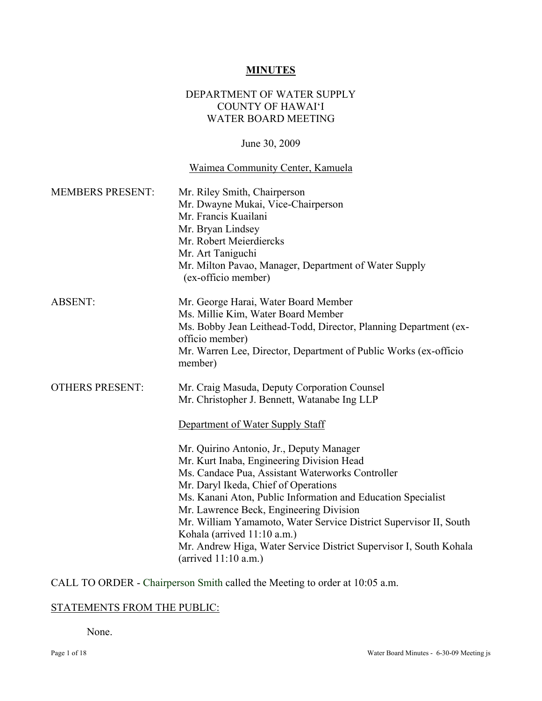#### **MINUTES**

### DEPARTMENT OF WATER SUPPLY COUNTY OF HAWAI'I WATER BOARD MEETING

#### June 30, 2009

# Waimea Community Center, Kamuela

| <b>MEMBERS PRESENT:</b> | Mr. Riley Smith, Chairperson<br>Mr. Dwayne Mukai, Vice-Chairperson<br>Mr. Francis Kuailani<br>Mr. Bryan Lindsey<br>Mr. Robert Meierdiercks<br>Mr. Art Taniguchi<br>Mr. Milton Pavao, Manager, Department of Water Supply<br>(ex-officio member)                                                                                                                                                                                                                                                                                                                                                                                      |
|-------------------------|--------------------------------------------------------------------------------------------------------------------------------------------------------------------------------------------------------------------------------------------------------------------------------------------------------------------------------------------------------------------------------------------------------------------------------------------------------------------------------------------------------------------------------------------------------------------------------------------------------------------------------------|
| <b>ABSENT:</b>          | Mr. George Harai, Water Board Member<br>Ms. Millie Kim, Water Board Member<br>Ms. Bobby Jean Leithead-Todd, Director, Planning Department (ex-<br>officio member)<br>Mr. Warren Lee, Director, Department of Public Works (ex-officio<br>member)                                                                                                                                                                                                                                                                                                                                                                                     |
| <b>OTHERS PRESENT:</b>  | Mr. Craig Masuda, Deputy Corporation Counsel<br>Mr. Christopher J. Bennett, Watanabe Ing LLP<br>Department of Water Supply Staff<br>Mr. Quirino Antonio, Jr., Deputy Manager<br>Mr. Kurt Inaba, Engineering Division Head<br>Ms. Candace Pua, Assistant Waterworks Controller<br>Mr. Daryl Ikeda, Chief of Operations<br>Ms. Kanani Aton, Public Information and Education Specialist<br>Mr. Lawrence Beck, Engineering Division<br>Mr. William Yamamoto, Water Service District Supervisor II, South<br>Kohala (arrived 11:10 a.m.)<br>Mr. Andrew Higa, Water Service District Supervisor I, South Kohala<br>(arrived $11:10$ a.m.) |

CALL TO ORDER - Chairperson Smith called the Meeting to order at 10:05 a.m.

## STATEMENTS FROM THE PUBLIC:

None.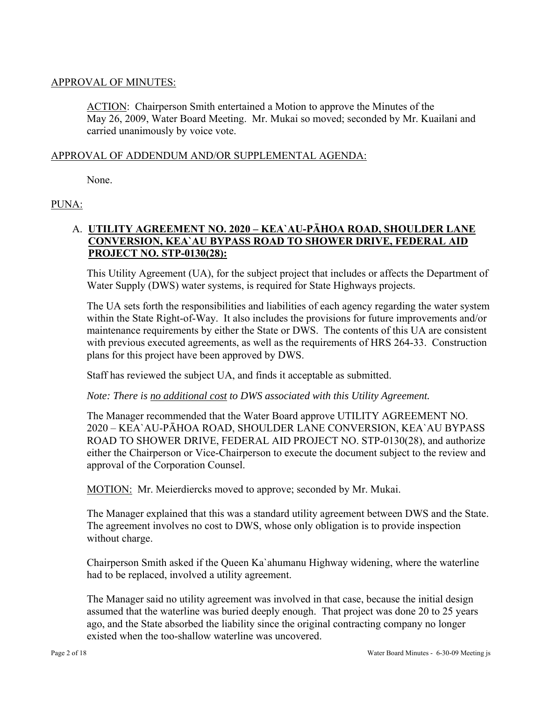### APPROVAL OF MINUTES:

ACTION: Chairperson Smith entertained a Motion to approve the Minutes of the May 26, 2009, Water Board Meeting. Mr. Mukai so moved; seconded by Mr. Kuailani and carried unanimously by voice vote.

### APPROVAL OF ADDENDUM AND/OR SUPPLEMENTAL AGENDA:

None.

## PUNA:

## A. **UTILITY AGREEMENT NO. 2020 – KEA`AU-PĀHOA ROAD, SHOULDER LANE CONVERSION, KEA`AU BYPASS ROAD TO SHOWER DRIVE, FEDERAL AID PROJECT NO. STP-0130(28):**

This Utility Agreement (UA), for the subject project that includes or affects the Department of Water Supply (DWS) water systems, is required for State Highways projects.

The UA sets forth the responsibilities and liabilities of each agency regarding the water system within the State Right-of-Way. It also includes the provisions for future improvements and/or maintenance requirements by either the State or DWS. The contents of this UA are consistent with previous executed agreements, as well as the requirements of HRS 264-33. Construction plans for this project have been approved by DWS.

Staff has reviewed the subject UA, and finds it acceptable as submitted.

*Note: There is no additional cost to DWS associated with this Utility Agreement.* 

The Manager recommended that the Water Board approve UTILITY AGREEMENT NO. 2020 – KEA`AU-PĀHOA ROAD, SHOULDER LANE CONVERSION, KEA`AU BYPASS ROAD TO SHOWER DRIVE, FEDERAL AID PROJECT NO. STP-0130(28), and authorize either the Chairperson or Vice-Chairperson to execute the document subject to the review and approval of the Corporation Counsel.

MOTION: Mr. Meierdiercks moved to approve; seconded by Mr. Mukai.

The Manager explained that this was a standard utility agreement between DWS and the State. The agreement involves no cost to DWS, whose only obligation is to provide inspection without charge.

Chairperson Smith asked if the Queen Ka`ahumanu Highway widening, where the waterline had to be replaced, involved a utility agreement.

The Manager said no utility agreement was involved in that case, because the initial design assumed that the waterline was buried deeply enough. That project was done 20 to 25 years ago, and the State absorbed the liability since the original contracting company no longer existed when the too-shallow waterline was uncovered.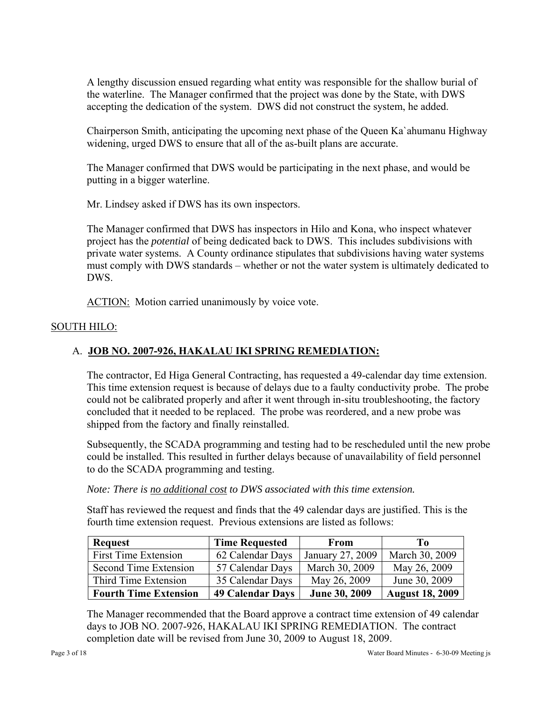A lengthy discussion ensued regarding what entity was responsible for the shallow burial of the waterline. The Manager confirmed that the project was done by the State, with DWS accepting the dedication of the system. DWS did not construct the system, he added.

Chairperson Smith, anticipating the upcoming next phase of the Queen Ka`ahumanu Highway widening, urged DWS to ensure that all of the as-built plans are accurate.

The Manager confirmed that DWS would be participating in the next phase, and would be putting in a bigger waterline.

Mr. Lindsey asked if DWS has its own inspectors.

The Manager confirmed that DWS has inspectors in Hilo and Kona, who inspect whatever project has the *potential* of being dedicated back to DWS. This includes subdivisions with private water systems. A County ordinance stipulates that subdivisions having water systems must comply with DWS standards – whether or not the water system is ultimately dedicated to DWS.

ACTION: Motion carried unanimously by voice vote.

## SOUTH HILO:

# A. **JOB NO. 2007-926, HAKALAU IKI SPRING REMEDIATION:**

The contractor, Ed Higa General Contracting, has requested a 49-calendar day time extension. This time extension request is because of delays due to a faulty conductivity probe. The probe could not be calibrated properly and after it went through in-situ troubleshooting, the factory concluded that it needed to be replaced. The probe was reordered, and a new probe was shipped from the factory and finally reinstalled.

Subsequently, the SCADA programming and testing had to be rescheduled until the new probe could be installed. This resulted in further delays because of unavailability of field personnel to do the SCADA programming and testing.

*Note: There is no additional cost to DWS associated with this time extension.* 

Staff has reviewed the request and finds that the 49 calendar days are justified. This is the fourth time extension request. Previous extensions are listed as follows:

| <b>Request</b>               | <b>Time Requested</b>   | <b>From</b>      | To                     |
|------------------------------|-------------------------|------------------|------------------------|
| First Time Extension         | 62 Calendar Days        | January 27, 2009 | March 30, 2009         |
| Second Time Extension        | 57 Calendar Days        | March 30, 2009   | May 26, 2009           |
| Third Time Extension         | 35 Calendar Days        | May 26, 2009     | June 30, 2009          |
| <b>Fourth Time Extension</b> | <b>49 Calendar Days</b> | June 30, 2009    | <b>August 18, 2009</b> |

The Manager recommended that the Board approve a contract time extension of 49 calendar days to JOB NO. 2007-926, HAKALAU IKI SPRING REMEDIATION. The contract completion date will be revised from June 30, 2009 to August 18, 2009.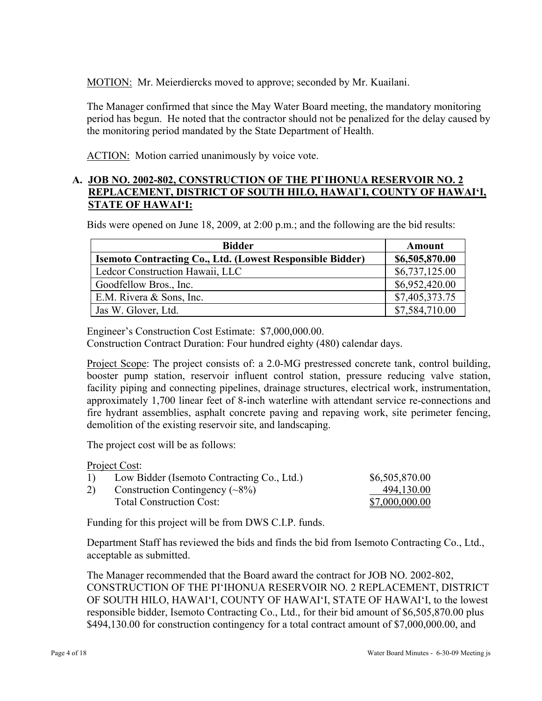MOTION: Mr. Meierdiercks moved to approve; seconded by Mr. Kuailani.

The Manager confirmed that since the May Water Board meeting, the mandatory monitoring period has begun. He noted that the contractor should not be penalized for the delay caused by the monitoring period mandated by the State Department of Health.

ACTION: Motion carried unanimously by voice vote.

### **A. JOB NO. 2002-802, CONSTRUCTION OF THE PI`IHONUA RESERVOIR NO. 2 REPLACEMENT, DISTRICT OF SOUTH HILO, HAWAI`I, COUNTY OF HAWAI'I, STATE OF HAWAI'I:**

Bids were opened on June 18, 2009, at 2:00 p.m.; and the following are the bid results:

| <b>Bidder</b>                                                    | Amount         |
|------------------------------------------------------------------|----------------|
| <b>Isemoto Contracting Co., Ltd. (Lowest Responsible Bidder)</b> | \$6,505,870.00 |
| Ledcor Construction Hawaii, LLC                                  | \$6,737,125.00 |
| Goodfellow Bros., Inc.                                           | \$6,952,420.00 |
| E.M. Rivera & Sons, Inc.                                         | \$7,405,373.75 |
| Jas W. Glover, Ltd.                                              | \$7,584,710.00 |

Engineer's Construction Cost Estimate: \$7,000,000.00.

Construction Contract Duration: Four hundred eighty (480) calendar days.

Project Scope: The project consists of: a 2.0-MG prestressed concrete tank, control building, booster pump station, reservoir influent control station, pressure reducing valve station, facility piping and connecting pipelines, drainage structures, electrical work, instrumentation, approximately 1,700 linear feet of 8-inch waterline with attendant service re-connections and fire hydrant assemblies, asphalt concrete paving and repaving work, site perimeter fencing, demolition of the existing reservoir site, and landscaping.

The project cost will be as follows:

Project Cost:

| 1) | Low Bidder (Isemoto Contracting Co., Ltd.) | \$6,505,870.00 |
|----|--------------------------------------------|----------------|
| 2) | Construction Contingency $(\sim 8\%)$      | 494,130.00     |
|    | <b>Total Construction Cost:</b>            | \$7,000,000.00 |

Funding for this project will be from DWS C.I.P. funds.

Department Staff has reviewed the bids and finds the bid from Isemoto Contracting Co., Ltd., acceptable as submitted.

The Manager recommended that the Board award the contract for JOB NO. 2002-802, CONSTRUCTION OF THE PI'IHONUA RESERVOIR NO. 2 REPLACEMENT, DISTRICT OF SOUTH HILO, HAWAI'I, COUNTY OF HAWAI'I, STATE OF HAWAI'I, to the lowest responsible bidder, Isemoto Contracting Co., Ltd., for their bid amount of \$6,505,870.00 plus \$494,130.00 for construction contingency for a total contract amount of \$7,000,000.00, and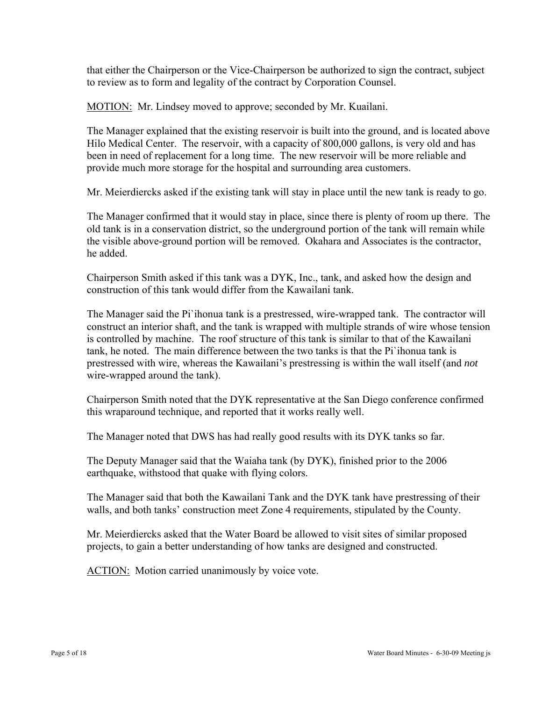that either the Chairperson or the Vice-Chairperson be authorized to sign the contract, subject to review as to form and legality of the contract by Corporation Counsel.

MOTION: Mr. Lindsey moved to approve; seconded by Mr. Kuailani.

The Manager explained that the existing reservoir is built into the ground, and is located above Hilo Medical Center. The reservoir, with a capacity of 800,000 gallons, is very old and has been in need of replacement for a long time. The new reservoir will be more reliable and provide much more storage for the hospital and surrounding area customers.

Mr. Meierdiercks asked if the existing tank will stay in place until the new tank is ready to go.

The Manager confirmed that it would stay in place, since there is plenty of room up there. The old tank is in a conservation district, so the underground portion of the tank will remain while the visible above-ground portion will be removed. Okahara and Associates is the contractor, he added.

Chairperson Smith asked if this tank was a DYK, Inc., tank, and asked how the design and construction of this tank would differ from the Kawailani tank.

The Manager said the Pi`ihonua tank is a prestressed, wire-wrapped tank. The contractor will construct an interior shaft, and the tank is wrapped with multiple strands of wire whose tension is controlled by machine. The roof structure of this tank is similar to that of the Kawailani tank, he noted. The main difference between the two tanks is that the Pi`ihonua tank is prestressed with wire, whereas the Kawailani's prestressing is within the wall itself (and *not* wire-wrapped around the tank).

Chairperson Smith noted that the DYK representative at the San Diego conference confirmed this wraparound technique, and reported that it works really well.

The Manager noted that DWS has had really good results with its DYK tanks so far.

The Deputy Manager said that the Waiaha tank (by DYK), finished prior to the 2006 earthquake, withstood that quake with flying colors.

The Manager said that both the Kawailani Tank and the DYK tank have prestressing of their walls, and both tanks' construction meet Zone 4 requirements, stipulated by the County.

Mr. Meierdiercks asked that the Water Board be allowed to visit sites of similar proposed projects, to gain a better understanding of how tanks are designed and constructed.

ACTION: Motion carried unanimously by voice vote.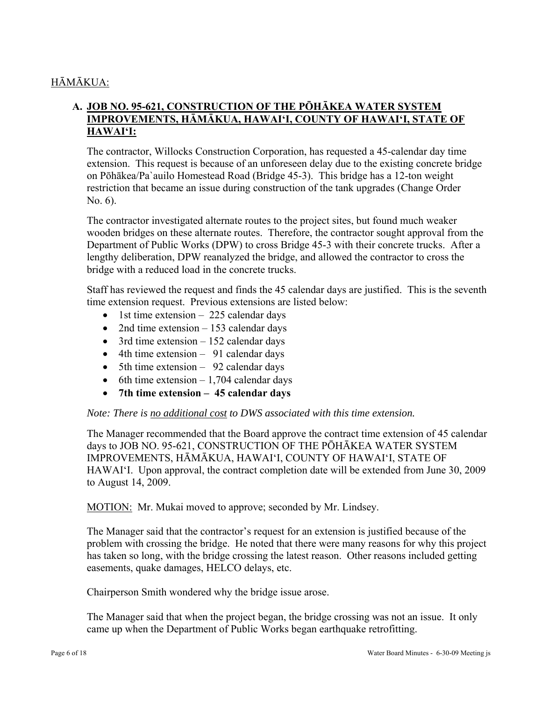# HĀMĀKUA:

## **A. JOB NO. 95-621, CONSTRUCTION OF THE PŌHĀKEA WATER SYSTEM IMPROVEMENTS, HĀMĀKUA, HAWAI'I, COUNTY OF HAWAI'I, STATE OF HAWAI'I:**

The contractor, Willocks Construction Corporation, has requested a 45-calendar day time extension. This request is because of an unforeseen delay due to the existing concrete bridge on Pōhākea/Pa`auilo Homestead Road (Bridge 45-3). This bridge has a 12-ton weight restriction that became an issue during construction of the tank upgrades (Change Order No. 6).

The contractor investigated alternate routes to the project sites, but found much weaker wooden bridges on these alternate routes. Therefore, the contractor sought approval from the Department of Public Works (DPW) to cross Bridge 45-3 with their concrete trucks. After a lengthy deliberation, DPW reanalyzed the bridge, and allowed the contractor to cross the bridge with a reduced load in the concrete trucks.

Staff has reviewed the request and finds the 45 calendar days are justified. This is the seventh time extension request. Previous extensions are listed below:

- 1st time extension  $-225$  calendar days
- 2nd time extension 153 calendar days
- $\bullet$  3rd time extension 152 calendar days
- 4th time extension 91 calendar days
- $\bullet$  5th time extension 92 calendar days
- 6th time extension  $-1,704$  calendar days
- **7th time extension 45 calendar days**

#### *Note: There is no additional cost to DWS associated with this time extension.*

The Manager recommended that the Board approve the contract time extension of 45 calendar days to JOB NO. 95-621, CONSTRUCTION OF THE PŌHĀKEA WATER SYSTEM IMPROVEMENTS, HĀMĀKUA, HAWAI'I, COUNTY OF HAWAI'I, STATE OF HAWAI'I. Upon approval, the contract completion date will be extended from June 30, 2009 to August 14, 2009.

MOTION: Mr. Mukai moved to approve; seconded by Mr. Lindsey.

The Manager said that the contractor's request for an extension is justified because of the problem with crossing the bridge. He noted that there were many reasons for why this project has taken so long, with the bridge crossing the latest reason. Other reasons included getting easements, quake damages, HELCO delays, etc.

Chairperson Smith wondered why the bridge issue arose.

The Manager said that when the project began, the bridge crossing was not an issue. It only came up when the Department of Public Works began earthquake retrofitting.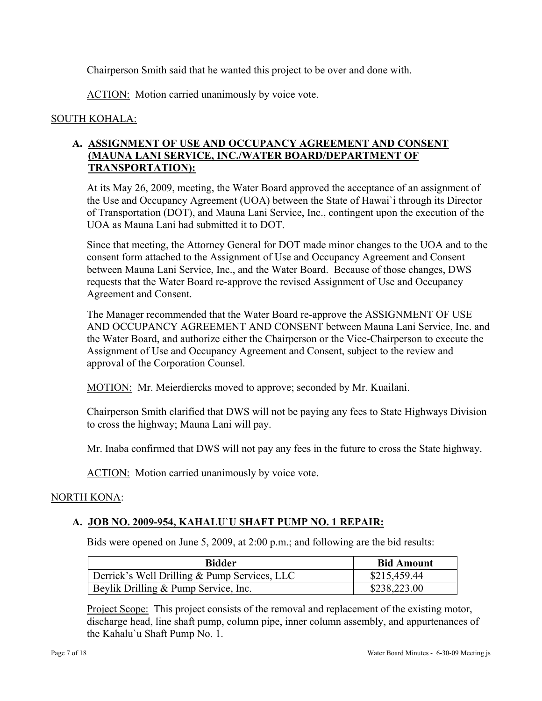Chairperson Smith said that he wanted this project to be over and done with.

ACTION: Motion carried unanimously by voice vote.

## SOUTH KOHALA:

## **A. ASSIGNMENT OF USE AND OCCUPANCY AGREEMENT AND CONSENT (MAUNA LANI SERVICE, INC./WATER BOARD/DEPARTMENT OF TRANSPORTATION):**

At its May 26, 2009, meeting, the Water Board approved the acceptance of an assignment of the Use and Occupancy Agreement (UOA) between the State of Hawai`i through its Director of Transportation (DOT), and Mauna Lani Service, Inc., contingent upon the execution of the UOA as Mauna Lani had submitted it to DOT.

Since that meeting, the Attorney General for DOT made minor changes to the UOA and to the consent form attached to the Assignment of Use and Occupancy Agreement and Consent between Mauna Lani Service, Inc., and the Water Board. Because of those changes, DWS requests that the Water Board re-approve the revised Assignment of Use and Occupancy Agreement and Consent.

The Manager recommended that the Water Board re-approve the ASSIGNMENT OF USE AND OCCUPANCY AGREEMENT AND CONSENT between Mauna Lani Service, Inc. and the Water Board, and authorize either the Chairperson or the Vice-Chairperson to execute the Assignment of Use and Occupancy Agreement and Consent, subject to the review and approval of the Corporation Counsel.

MOTION: Mr. Meierdiercks moved to approve; seconded by Mr. Kuailani.

Chairperson Smith clarified that DWS will not be paying any fees to State Highways Division to cross the highway; Mauna Lani will pay.

Mr. Inaba confirmed that DWS will not pay any fees in the future to cross the State highway.

ACTION: Motion carried unanimously by voice vote.

## NORTH KONA:

## **A. JOB NO. 2009-954, KAHALU`U SHAFT PUMP NO. 1 REPAIR:**

Bids were opened on June 5, 2009, at 2:00 p.m.; and following are the bid results:

| <b>Bidder</b>                                | <b>Bid Amount</b> |
|----------------------------------------------|-------------------|
| Derrick's Well Drilling & Pump Services, LLC | \$215,459.44      |
| Beylik Drilling & Pump Service, Inc.         | \$238,223.00      |

Project Scope: This project consists of the removal and replacement of the existing motor, discharge head, line shaft pump, column pipe, inner column assembly, and appurtenances of the Kahalu`u Shaft Pump No. 1.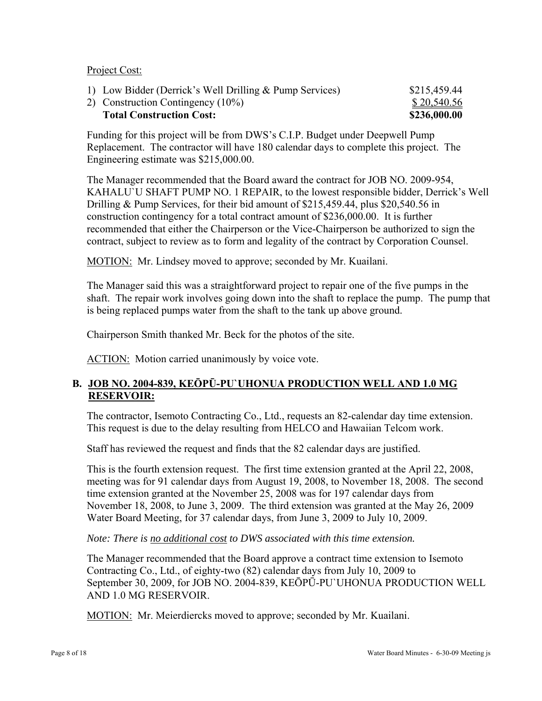Project Cost:

| <b>Total Construction Cost:</b>                         | \$236,000.00 |
|---------------------------------------------------------|--------------|
| 2) Construction Contingency (10%)                       | \$20,540.56  |
| 1) Low Bidder (Derrick's Well Drilling & Pump Services) | \$215,459.44 |

Funding for this project will be from DWS's C.I.P. Budget under Deepwell Pump Replacement. The contractor will have 180 calendar days to complete this project. The Engineering estimate was \$215,000.00.

The Manager recommended that the Board award the contract for JOB NO. 2009-954, KAHALU`U SHAFT PUMP NO. 1 REPAIR, to the lowest responsible bidder, Derrick's Well Drilling & Pump Services, for their bid amount of \$215,459.44, plus \$20,540.56 in construction contingency for a total contract amount of \$236,000.00. It is further recommended that either the Chairperson or the Vice-Chairperson be authorized to sign the contract, subject to review as to form and legality of the contract by Corporation Counsel.

MOTION: Mr. Lindsey moved to approve; seconded by Mr. Kuailani.

The Manager said this was a straightforward project to repair one of the five pumps in the shaft. The repair work involves going down into the shaft to replace the pump. The pump that is being replaced pumps water from the shaft to the tank up above ground.

Chairperson Smith thanked Mr. Beck for the photos of the site.

ACTION: Motion carried unanimously by voice vote.

## **B. JOB NO. 2004-839, KEŌPŪ-PU`UHONUA PRODUCTION WELL AND 1.0 MG RESERVOIR:**

The contractor, Isemoto Contracting Co., Ltd., requests an 82-calendar day time extension. This request is due to the delay resulting from HELCO and Hawaiian Telcom work.

Staff has reviewed the request and finds that the 82 calendar days are justified.

This is the fourth extension request. The first time extension granted at the April 22, 2008, meeting was for 91 calendar days from August 19, 2008, to November 18, 2008. The second time extension granted at the November 25, 2008 was for 197 calendar days from November 18, 2008, to June 3, 2009. The third extension was granted at the May 26, 2009 Water Board Meeting, for 37 calendar days, from June 3, 2009 to July 10, 2009.

#### *Note: There is no additional cost to DWS associated with this time extension.*

The Manager recommended that the Board approve a contract time extension to Isemoto Contracting Co., Ltd., of eighty-two (82) calendar days from July 10, 2009 to September 30, 2009, for JOB NO. 2004-839, KEŌPŪ-PU`UHONUA PRODUCTION WELL AND 1.0 MG RESERVOIR.

MOTION: Mr. Meierdiercks moved to approve; seconded by Mr. Kuailani.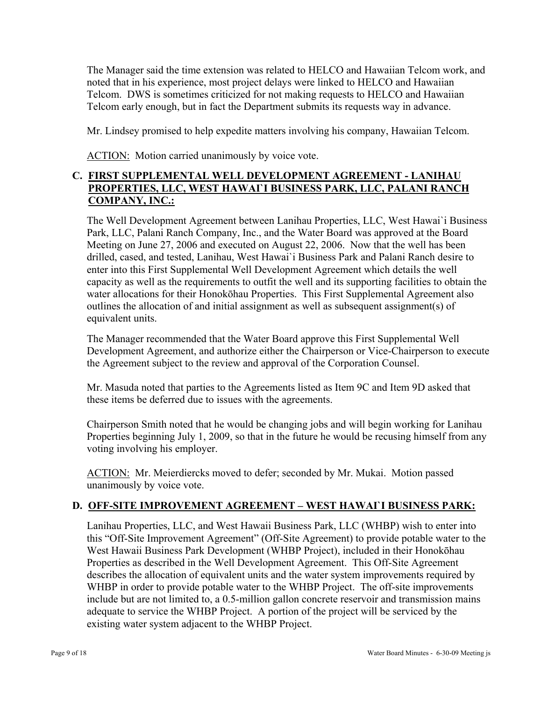The Manager said the time extension was related to HELCO and Hawaiian Telcom work, and noted that in his experience, most project delays were linked to HELCO and Hawaiian Telcom. DWS is sometimes criticized for not making requests to HELCO and Hawaiian Telcom early enough, but in fact the Department submits its requests way in advance.

Mr. Lindsey promised to help expedite matters involving his company, Hawaiian Telcom.

ACTION: Motion carried unanimously by voice vote.

## **C. FIRST SUPPLEMENTAL WELL DEVELOPMENT AGREEMENT - LANIHAU PROPERTIES, LLC, WEST HAWAI`I BUSINESS PARK, LLC, PALANI RANCH COMPANY, INC.:**

The Well Development Agreement between Lanihau Properties, LLC, West Hawai`i Business Park, LLC, Palani Ranch Company, Inc., and the Water Board was approved at the Board Meeting on June 27, 2006 and executed on August 22, 2006. Now that the well has been drilled, cased, and tested, Lanihau, West Hawai`i Business Park and Palani Ranch desire to enter into this First Supplemental Well Development Agreement which details the well capacity as well as the requirements to outfit the well and its supporting facilities to obtain the water allocations for their Honokōhau Properties. This First Supplemental Agreement also outlines the allocation of and initial assignment as well as subsequent assignment(s) of equivalent units.

The Manager recommended that the Water Board approve this First Supplemental Well Development Agreement, and authorize either the Chairperson or Vice-Chairperson to execute the Agreement subject to the review and approval of the Corporation Counsel.

Mr. Masuda noted that parties to the Agreements listed as Item 9C and Item 9D asked that these items be deferred due to issues with the agreements.

Chairperson Smith noted that he would be changing jobs and will begin working for Lanihau Properties beginning July 1, 2009, so that in the future he would be recusing himself from any voting involving his employer.

ACTION: Mr. Meierdiercks moved to defer; seconded by Mr. Mukai. Motion passed unanimously by voice vote.

# **D. OFF-SITE IMPROVEMENT AGREEMENT – WEST HAWAI`I BUSINESS PARK:**

Lanihau Properties, LLC, and West Hawaii Business Park, LLC (WHBP) wish to enter into this "Off-Site Improvement Agreement" (Off-Site Agreement) to provide potable water to the West Hawaii Business Park Development (WHBP Project), included in their Honokōhau Properties as described in the Well Development Agreement. This Off-Site Agreement describes the allocation of equivalent units and the water system improvements required by WHBP in order to provide potable water to the WHBP Project. The off-site improvements include but are not limited to, a 0.5-million gallon concrete reservoir and transmission mains adequate to service the WHBP Project. A portion of the project will be serviced by the existing water system adjacent to the WHBP Project.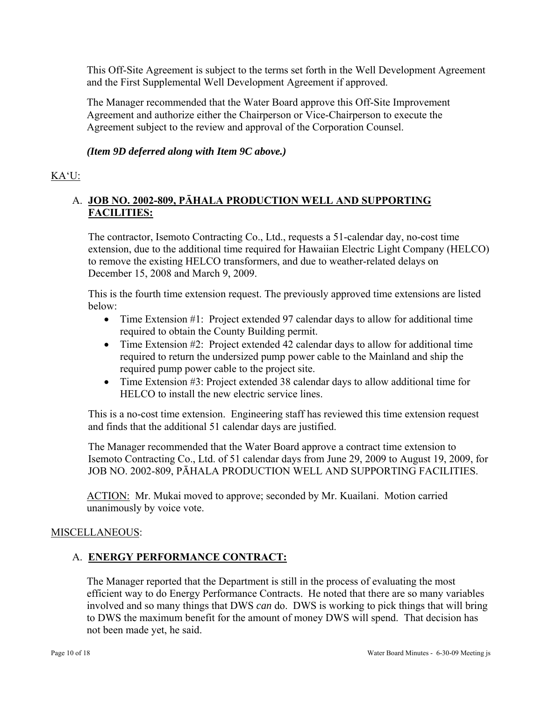This Off-Site Agreement is subject to the terms set forth in the Well Development Agreement and the First Supplemental Well Development Agreement if approved.

The Manager recommended that the Water Board approve this Off-Site Improvement Agreement and authorize either the Chairperson or Vice-Chairperson to execute the Agreement subject to the review and approval of the Corporation Counsel.

*(Item 9D deferred along with Item 9C above.)* 

# KA'U:

# A. **JOB NO. 2002-809, PĀHALA PRODUCTION WELL AND SUPPORTING FACILITIES:**

The contractor, Isemoto Contracting Co., Ltd., requests a 51-calendar day, no-cost time extension, due to the additional time required for Hawaiian Electric Light Company (HELCO) to remove the existing HELCO transformers, and due to weather-related delays on December 15, 2008 and March 9, 2009.

This is the fourth time extension request. The previously approved time extensions are listed below:

- Time Extension #1: Project extended 97 calendar days to allow for additional time required to obtain the County Building permit.
- Time Extension #2: Project extended 42 calendar days to allow for additional time required to return the undersized pump power cable to the Mainland and ship the required pump power cable to the project site.
- Time Extension #3: Project extended 38 calendar days to allow additional time for HELCO to install the new electric service lines.

This is a no-cost time extension. Engineering staff has reviewed this time extension request and finds that the additional 51 calendar days are justified.

The Manager recommended that the Water Board approve a contract time extension to Isemoto Contracting Co., Ltd. of 51 calendar days from June 29, 2009 to August 19, 2009, for JOB NO. 2002-809, PĀHALA PRODUCTION WELL AND SUPPORTING FACILITIES.

ACTION: Mr. Mukai moved to approve; seconded by Mr. Kuailani. Motion carried unanimously by voice vote.

## MISCELLANEOUS:

## A. **ENERGY PERFORMANCE CONTRACT:**

The Manager reported that the Department is still in the process of evaluating the most efficient way to do Energy Performance Contracts. He noted that there are so many variables involved and so many things that DWS *can* do. DWS is working to pick things that will bring to DWS the maximum benefit for the amount of money DWS will spend. That decision has not been made yet, he said.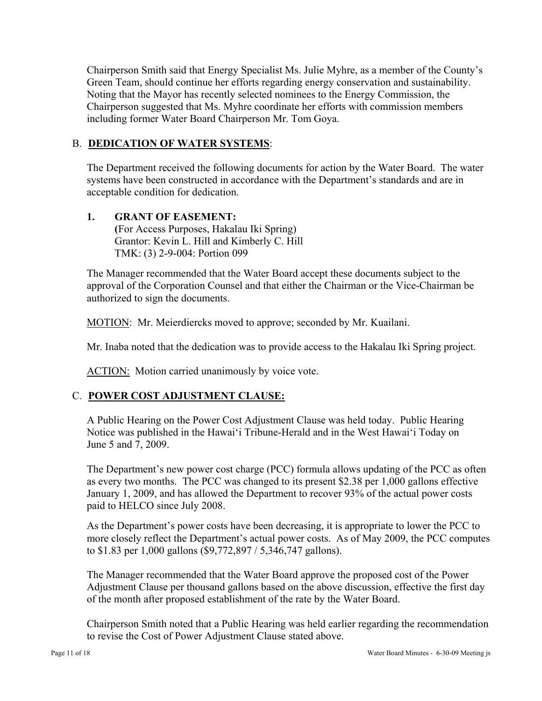Chairperson Smith said that Energy Specialist Ms. Julie Myhre, as a member of the County's Green Team, should continue her efforts regarding energy conservation and sustainability. Noting that the Mayor has recently selected nominees to the Energy Commission, the Chairperson suggested that Ms. Myhre coordinate her efforts with commission members including former Water Board Chairperson Mr. Tom Goya.

### B. **DEDICATION OF WATER SYSTEMS**:

The Department received the following documents for action by the Water Board. The water systems have been constructed in accordance with the Department's standards and are in acceptable condition for dedication.

#### **1. GRANT OF EASEMENT: (**For Access Purposes, Hakalau Iki Spring) Grantor: Kevin L. Hill and Kimberly C. Hill TMK: (3) 2-9-004: Portion 099

The Manager recommended that the Water Board accept these documents subject to the approval of the Corporation Counsel and that either the Chairman or the Vice-Chairman be authorized to sign the documents.

MOTION: Mr. Meierdiercks moved to approve; seconded by Mr. Kuailani.

Mr. Inaba noted that the dedication was to provide access to the Hakalau Iki Spring project.

ACTION: Motion carried unanimously by voice vote.

## C. **POWER COST ADJUSTMENT CLAUSE:**

A Public Hearing on the Power Cost Adjustment Clause was held today. Public Hearing Notice was published in the Hawai'i Tribune-Herald and in the West Hawai'i Today on June 5 and 7, 2009.

The Department's new power cost charge (PCC) formula allows updating of the PCC as often as every two months. The PCC was changed to its present \$2.38 per 1,000 gallons effective January 1, 2009, and has allowed the Department to recover 93% of the actual power costs paid to HELCO since July 2008.

As the Department's power costs have been decreasing, it is appropriate to lower the PCC to more closely reflect the Department's actual power costs. As of May 2009, the PCC computes to \$1.83 per 1,000 gallons (\$9,772,897 / 5,346,747 gallons).

The Manager recommended that the Water Board approve the proposed cost of the Power Adjustment Clause per thousand gallons based on the above discussion, effective the first day of the month after proposed establishment of the rate by the Water Board.

Chairperson Smith noted that a Public Hearing was held earlier regarding the recommendation to revise the Cost of Power Adjustment Clause stated above.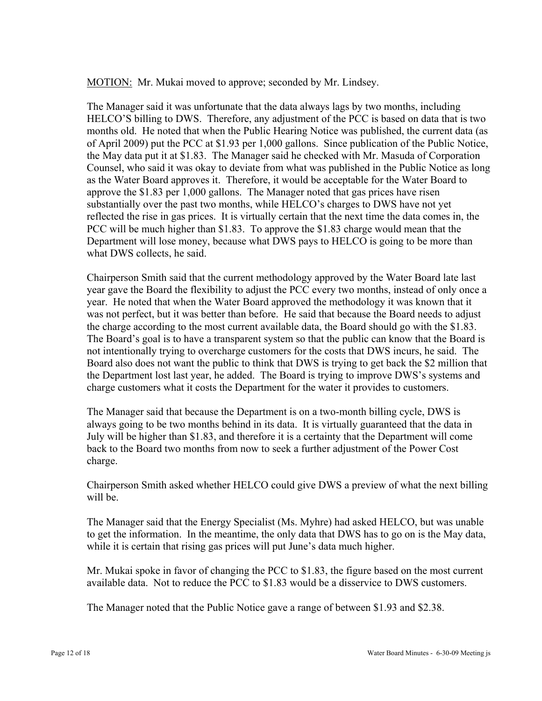MOTION: Mr. Mukai moved to approve; seconded by Mr. Lindsey.

The Manager said it was unfortunate that the data always lags by two months, including HELCO'S billing to DWS. Therefore, any adjustment of the PCC is based on data that is two months old. He noted that when the Public Hearing Notice was published, the current data (as of April 2009) put the PCC at \$1.93 per 1,000 gallons. Since publication of the Public Notice, the May data put it at \$1.83. The Manager said he checked with Mr. Masuda of Corporation Counsel, who said it was okay to deviate from what was published in the Public Notice as long as the Water Board approves it. Therefore, it would be acceptable for the Water Board to approve the \$1.83 per 1,000 gallons. The Manager noted that gas prices have risen substantially over the past two months, while HELCO's charges to DWS have not yet reflected the rise in gas prices. It is virtually certain that the next time the data comes in, the PCC will be much higher than \$1.83. To approve the \$1.83 charge would mean that the Department will lose money, because what DWS pays to HELCO is going to be more than what DWS collects, he said.

Chairperson Smith said that the current methodology approved by the Water Board late last year gave the Board the flexibility to adjust the PCC every two months, instead of only once a year. He noted that when the Water Board approved the methodology it was known that it was not perfect, but it was better than before. He said that because the Board needs to adjust the charge according to the most current available data, the Board should go with the \$1.83. The Board's goal is to have a transparent system so that the public can know that the Board is not intentionally trying to overcharge customers for the costs that DWS incurs, he said. The Board also does not want the public to think that DWS is trying to get back the \$2 million that the Department lost last year, he added. The Board is trying to improve DWS's systems and charge customers what it costs the Department for the water it provides to customers.

The Manager said that because the Department is on a two-month billing cycle, DWS is always going to be two months behind in its data. It is virtually guaranteed that the data in July will be higher than \$1.83, and therefore it is a certainty that the Department will come back to the Board two months from now to seek a further adjustment of the Power Cost charge.

Chairperson Smith asked whether HELCO could give DWS a preview of what the next billing will be.

The Manager said that the Energy Specialist (Ms. Myhre) had asked HELCO, but was unable to get the information. In the meantime, the only data that DWS has to go on is the May data, while it is certain that rising gas prices will put June's data much higher.

Mr. Mukai spoke in favor of changing the PCC to \$1.83, the figure based on the most current available data. Not to reduce the PCC to \$1.83 would be a disservice to DWS customers.

The Manager noted that the Public Notice gave a range of between \$1.93 and \$2.38.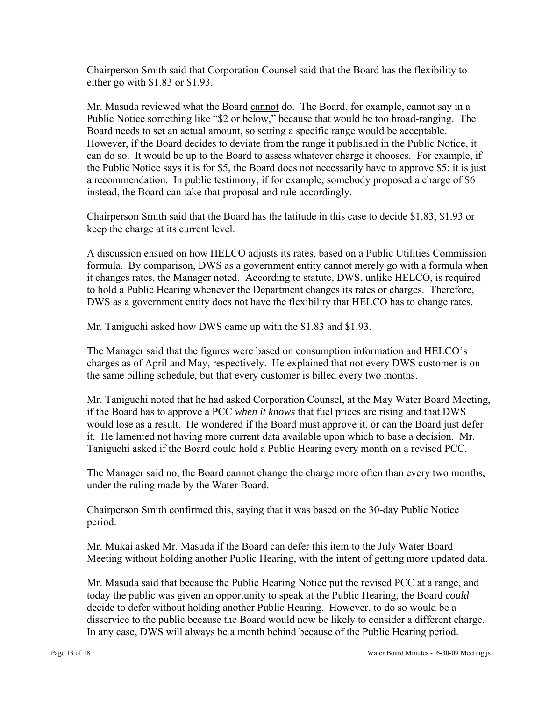Chairperson Smith said that Corporation Counsel said that the Board has the flexibility to either go with \$1.83 or \$1.93.

Mr. Masuda reviewed what the Board cannot do. The Board, for example, cannot say in a Public Notice something like "\$2 or below," because that would be too broad-ranging. The Board needs to set an actual amount, so setting a specific range would be acceptable. However, if the Board decides to deviate from the range it published in the Public Notice, it can do so. It would be up to the Board to assess whatever charge it chooses. For example, if the Public Notice says it is for \$5, the Board does not necessarily have to approve \$5; it is just a recommendation. In public testimony, if for example, somebody proposed a charge of \$6 instead, the Board can take that proposal and rule accordingly.

Chairperson Smith said that the Board has the latitude in this case to decide \$1.83, \$1.93 or keep the charge at its current level.

A discussion ensued on how HELCO adjusts its rates, based on a Public Utilities Commission formula. By comparison, DWS as a government entity cannot merely go with a formula when it changes rates, the Manager noted. According to statute, DWS, unlike HELCO, is required to hold a Public Hearing whenever the Department changes its rates or charges. Therefore, DWS as a government entity does not have the flexibility that HELCO has to change rates.

Mr. Taniguchi asked how DWS came up with the \$1.83 and \$1.93.

The Manager said that the figures were based on consumption information and HELCO's charges as of April and May, respectively. He explained that not every DWS customer is on the same billing schedule, but that every customer is billed every two months.

Mr. Taniguchi noted that he had asked Corporation Counsel, at the May Water Board Meeting, if the Board has to approve a PCC *when it knows* that fuel prices are rising and that DWS would lose as a result. He wondered if the Board must approve it, or can the Board just defer it. He lamented not having more current data available upon which to base a decision. Mr. Taniguchi asked if the Board could hold a Public Hearing every month on a revised PCC.

The Manager said no, the Board cannot change the charge more often than every two months, under the ruling made by the Water Board.

Chairperson Smith confirmed this, saying that it was based on the 30-day Public Notice period.

Mr. Mukai asked Mr. Masuda if the Board can defer this item to the July Water Board Meeting without holding another Public Hearing, with the intent of getting more updated data.

Mr. Masuda said that because the Public Hearing Notice put the revised PCC at a range, and today the public was given an opportunity to speak at the Public Hearing, the Board *could*  decide to defer without holding another Public Hearing. However, to do so would be a disservice to the public because the Board would now be likely to consider a different charge. In any case, DWS will always be a month behind because of the Public Hearing period.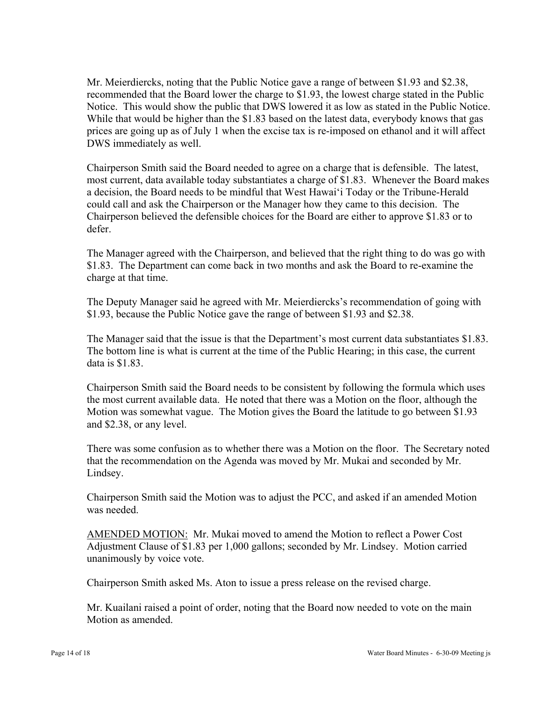Mr. Meierdiercks, noting that the Public Notice gave a range of between \$1.93 and \$2.38, recommended that the Board lower the charge to \$1.93, the lowest charge stated in the Public Notice. This would show the public that DWS lowered it as low as stated in the Public Notice. While that would be higher than the \$1.83 based on the latest data, everybody knows that gas prices are going up as of July 1 when the excise tax is re-imposed on ethanol and it will affect DWS immediately as well.

Chairperson Smith said the Board needed to agree on a charge that is defensible. The latest, most current, data available today substantiates a charge of \$1.83. Whenever the Board makes a decision, the Board needs to be mindful that West Hawai'i Today or the Tribune-Herald could call and ask the Chairperson or the Manager how they came to this decision. The Chairperson believed the defensible choices for the Board are either to approve \$1.83 or to defer.

The Manager agreed with the Chairperson, and believed that the right thing to do was go with \$1.83. The Department can come back in two months and ask the Board to re-examine the charge at that time.

The Deputy Manager said he agreed with Mr. Meierdiercks's recommendation of going with \$1.93, because the Public Notice gave the range of between \$1.93 and \$2.38.

The Manager said that the issue is that the Department's most current data substantiates \$1.83. The bottom line is what is current at the time of the Public Hearing; in this case, the current data is \$1.83.

Chairperson Smith said the Board needs to be consistent by following the formula which uses the most current available data. He noted that there was a Motion on the floor, although the Motion was somewhat vague. The Motion gives the Board the latitude to go between \$1.93 and \$2.38, or any level.

There was some confusion as to whether there was a Motion on the floor. The Secretary noted that the recommendation on the Agenda was moved by Mr. Mukai and seconded by Mr. Lindsey.

Chairperson Smith said the Motion was to adjust the PCC, and asked if an amended Motion was needed.

AMENDED MOTION: Mr. Mukai moved to amend the Motion to reflect a Power Cost Adjustment Clause of \$1.83 per 1,000 gallons; seconded by Mr. Lindsey. Motion carried unanimously by voice vote.

Chairperson Smith asked Ms. Aton to issue a press release on the revised charge.

Mr. Kuailani raised a point of order, noting that the Board now needed to vote on the main Motion as amended.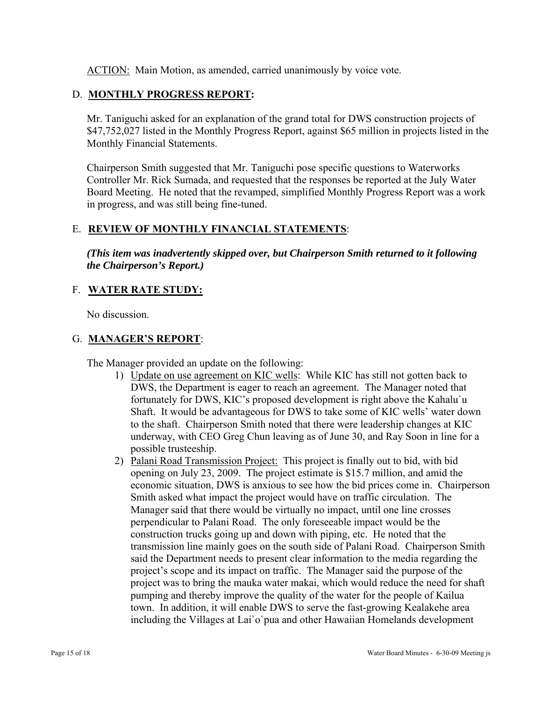ACTION: Main Motion, as amended, carried unanimously by voice vote.

# D. **MONTHLY PROGRESS REPORT:**

Mr. Taniguchi asked for an explanation of the grand total for DWS construction projects of \$47,752,027 listed in the Monthly Progress Report, against \$65 million in projects listed in the Monthly Financial Statements.

Chairperson Smith suggested that Mr. Taniguchi pose specific questions to Waterworks Controller Mr. Rick Sumada, and requested that the responses be reported at the July Water Board Meeting. He noted that the revamped, simplified Monthly Progress Report was a work in progress, and was still being fine-tuned.

## E. **REVIEW OF MONTHLY FINANCIAL STATEMENTS**:

*(This item was inadvertently skipped over, but Chairperson Smith returned to it following the Chairperson's Report.)* 

## F. **WATER RATE STUDY:**

No discussion.

## G. **MANAGER'S REPORT**:

The Manager provided an update on the following:

- 1) Update on use agreement on KIC wells: While KIC has still not gotten back to DWS, the Department is eager to reach an agreement. The Manager noted that fortunately for DWS, KIC's proposed development is right above the Kahalu`u Shaft. It would be advantageous for DWS to take some of KIC wells' water down to the shaft. Chairperson Smith noted that there were leadership changes at KIC underway, with CEO Greg Chun leaving as of June 30, and Ray Soon in line for a possible trusteeship.
- 2) Palani Road Transmission Project: This project is finally out to bid, with bid opening on July 23, 2009. The project estimate is \$15.7 million, and amid the economic situation, DWS is anxious to see how the bid prices come in. Chairperson Smith asked what impact the project would have on traffic circulation. The Manager said that there would be virtually no impact, until one line crosses perpendicular to Palani Road. The only foreseeable impact would be the construction trucks going up and down with piping, etc. He noted that the transmission line mainly goes on the south side of Palani Road. Chairperson Smith said the Department needs to present clear information to the media regarding the project's scope and its impact on traffic. The Manager said the purpose of the project was to bring the mauka water makai, which would reduce the need for shaft pumping and thereby improve the quality of the water for the people of Kailua town. In addition, it will enable DWS to serve the fast-growing Kealakehe area including the Villages at Lai`o`pua and other Hawaiian Homelands development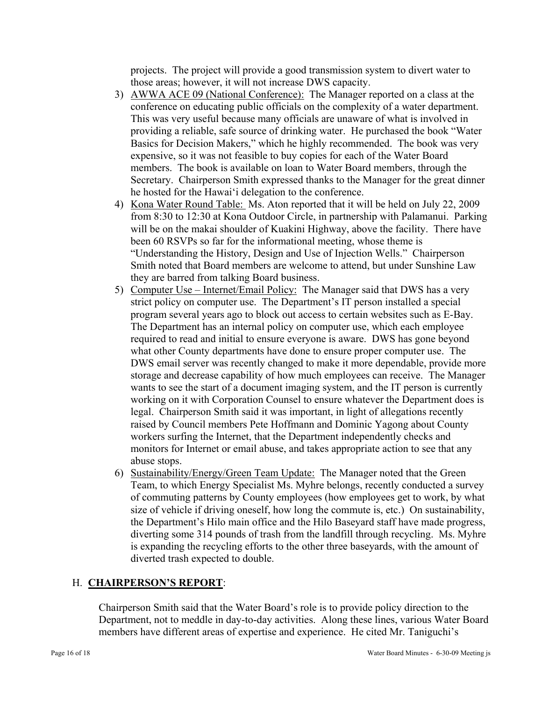projects. The project will provide a good transmission system to divert water to those areas; however, it will not increase DWS capacity.

- 3) AWWA ACE 09 (National Conference): The Manager reported on a class at the conference on educating public officials on the complexity of a water department. This was very useful because many officials are unaware of what is involved in providing a reliable, safe source of drinking water. He purchased the book "Water Basics for Decision Makers," which he highly recommended. The book was very expensive, so it was not feasible to buy copies for each of the Water Board members. The book is available on loan to Water Board members, through the Secretary. Chairperson Smith expressed thanks to the Manager for the great dinner he hosted for the Hawai'i delegation to the conference.
- 4) Kona Water Round Table: Ms. Aton reported that it will be held on July 22, 2009 from 8:30 to 12:30 at Kona Outdoor Circle, in partnership with Palamanui. Parking will be on the makai shoulder of Kuakini Highway, above the facility. There have been 60 RSVPs so far for the informational meeting, whose theme is "Understanding the History, Design and Use of Injection Wells." Chairperson Smith noted that Board members are welcome to attend, but under Sunshine Law they are barred from talking Board business.
- 5) Computer Use Internet/Email Policy: The Manager said that DWS has a very strict policy on computer use. The Department's IT person installed a special program several years ago to block out access to certain websites such as E-Bay. The Department has an internal policy on computer use, which each employee required to read and initial to ensure everyone is aware. DWS has gone beyond what other County departments have done to ensure proper computer use. The DWS email server was recently changed to make it more dependable, provide more storage and decrease capability of how much employees can receive. The Manager wants to see the start of a document imaging system, and the IT person is currently working on it with Corporation Counsel to ensure whatever the Department does is legal. Chairperson Smith said it was important, in light of allegations recently raised by Council members Pete Hoffmann and Dominic Yagong about County workers surfing the Internet, that the Department independently checks and monitors for Internet or email abuse, and takes appropriate action to see that any abuse stops.
- 6) Sustainability/Energy/Green Team Update: The Manager noted that the Green Team, to which Energy Specialist Ms. Myhre belongs, recently conducted a survey of commuting patterns by County employees (how employees get to work, by what size of vehicle if driving oneself, how long the commute is, etc.) On sustainability, the Department's Hilo main office and the Hilo Baseyard staff have made progress, diverting some 314 pounds of trash from the landfill through recycling. Ms. Myhre is expanding the recycling efforts to the other three baseyards, with the amount of diverted trash expected to double.

## H. **CHAIRPERSON'S REPORT**:

Chairperson Smith said that the Water Board's role is to provide policy direction to the Department, not to meddle in day-to-day activities. Along these lines, various Water Board members have different areas of expertise and experience. He cited Mr. Taniguchi's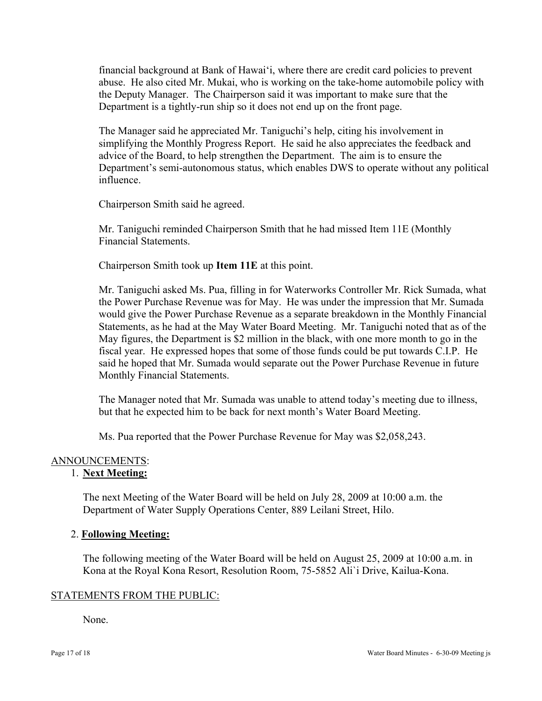financial background at Bank of Hawai'i, where there are credit card policies to prevent abuse. He also cited Mr. Mukai, who is working on the take-home automobile policy with the Deputy Manager. The Chairperson said it was important to make sure that the Department is a tightly-run ship so it does not end up on the front page.

The Manager said he appreciated Mr. Taniguchi's help, citing his involvement in simplifying the Monthly Progress Report. He said he also appreciates the feedback and advice of the Board, to help strengthen the Department. The aim is to ensure the Department's semi-autonomous status, which enables DWS to operate without any political influence.

Chairperson Smith said he agreed.

Mr. Taniguchi reminded Chairperson Smith that he had missed Item 11E (Monthly Financial Statements.

Chairperson Smith took up **Item 11E** at this point.

Mr. Taniguchi asked Ms. Pua, filling in for Waterworks Controller Mr. Rick Sumada, what the Power Purchase Revenue was for May. He was under the impression that Mr. Sumada would give the Power Purchase Revenue as a separate breakdown in the Monthly Financial Statements, as he had at the May Water Board Meeting. Mr. Taniguchi noted that as of the May figures, the Department is \$2 million in the black, with one more month to go in the fiscal year. He expressed hopes that some of those funds could be put towards C.I.P. He said he hoped that Mr. Sumada would separate out the Power Purchase Revenue in future Monthly Financial Statements.

The Manager noted that Mr. Sumada was unable to attend today's meeting due to illness, but that he expected him to be back for next month's Water Board Meeting.

Ms. Pua reported that the Power Purchase Revenue for May was \$2,058,243.

## ANNOUNCEMENTS:

## 1. **Next Meeting:**

The next Meeting of the Water Board will be held on July 28, 2009 at 10:00 a.m. the Department of Water Supply Operations Center, 889 Leilani Street, Hilo.

#### 2. **Following Meeting:**

The following meeting of the Water Board will be held on August 25, 2009 at 10:00 a.m. in Kona at the Royal Kona Resort, Resolution Room, 75-5852 Ali`i Drive, Kailua-Kona.

#### STATEMENTS FROM THE PUBLIC:

None.